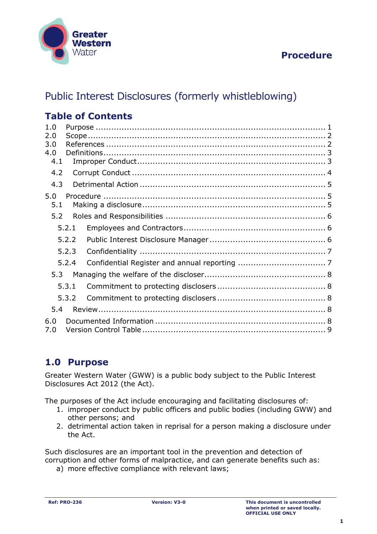

# **Procedure**

# Public Interest Disclosures (formerly whistleblowing)

# **Table of Contents**

| 1.0<br>2.0<br>3.0<br>4.0 |       |  |  |  |  |  |
|--------------------------|-------|--|--|--|--|--|
| 4.1                      |       |  |  |  |  |  |
| 4.2                      |       |  |  |  |  |  |
| 4.3                      |       |  |  |  |  |  |
| 5.0<br>5.1               |       |  |  |  |  |  |
| 5.2                      |       |  |  |  |  |  |
|                          | 5.2.1 |  |  |  |  |  |
|                          | 5.2.2 |  |  |  |  |  |
|                          | 5.2.3 |  |  |  |  |  |
|                          | 5.2.4 |  |  |  |  |  |
| 5.3                      |       |  |  |  |  |  |
|                          | 5.3.1 |  |  |  |  |  |
|                          | 5.3.2 |  |  |  |  |  |
| 5.4                      |       |  |  |  |  |  |
| 6.0<br>7.0               |       |  |  |  |  |  |

# <span id="page-0-0"></span>**1.0 Purpose**

Greater Western Water (GWW) is a public body subject to the Public Interest Disclosures Act 2012 (the Act).

The purposes of the Act include encouraging and facilitating disclosures of:

- 1. improper conduct by public officers and public bodies (including GWW) and other persons; and
- 2. detrimental action taken in reprisal for a person making a disclosure under the Act.

Such disclosures are an important tool in the prevention and detection of corruption and other forms of malpractice, and can generate benefits such as:

a) more effective compliance with relevant laws;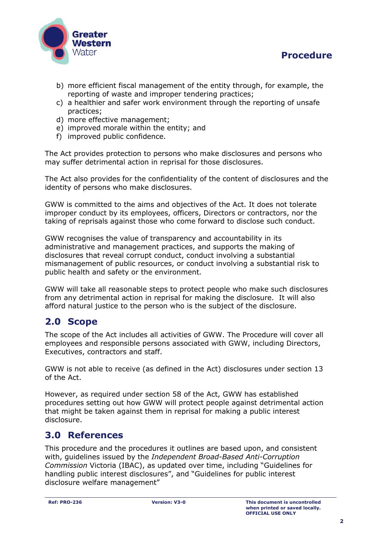



- b) more efficient fiscal management of the entity through, for example, the reporting of waste and improper tendering practices;
- c) a healthier and safer work environment through the reporting of unsafe practices;
- d) more effective management;
- e) improved morale within the entity; and
- f) improved public confidence.

The Act provides protection to persons who make disclosures and persons who may suffer detrimental action in reprisal for those disclosures.

The Act also provides for the confidentiality of the content of disclosures and the identity of persons who make disclosures.

GWW is committed to the aims and objectives of the Act. It does not tolerate improper conduct by its employees, officers, Directors or contractors, nor the taking of reprisals against those who come forward to disclose such conduct.

GWW recognises the value of transparency and accountability in its administrative and management practices, and supports the making of disclosures that reveal corrupt conduct, conduct involving a substantial mismanagement of public resources, or conduct involving a substantial risk to public health and safety or the environment.

GWW will take all reasonable steps to protect people who make such disclosures from any detrimental action in reprisal for making the disclosure. It will also afford natural justice to the person who is the subject of the disclosure.

# <span id="page-1-0"></span>**2.0 Scope**

The scope of the Act includes all activities of GWW. The Procedure will cover all employees and responsible persons associated with GWW, including Directors, Executives, contractors and staff.

GWW is not able to receive (as defined in the Act) disclosures under section 13 of the Act.

However, as required under section 58 of the Act, GWW has established procedures setting out how GWW will protect people against detrimental action that might be taken against them in reprisal for making a public interest disclosure.

### <span id="page-1-1"></span>**3.0 References**

This procedure and the procedures it outlines are based upon, and consistent with, guidelines issued by the *Independent Broad-Based Anti-Corruption Commission* Victoria (IBAC), as updated over time, including "Guidelines for handling public interest disclosures", and "Guidelines for public interest disclosure welfare management"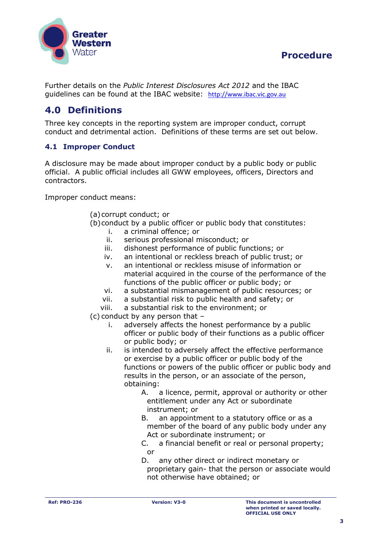

# **Procedure**

Further details on the *Public Interest Disclosures Act 2012* and the IBAC guidelines can be found at the IBAC website: [http://www.ibac.vic.gov.au](http://www.ibac.vic.gov.au/)

# <span id="page-2-0"></span>**4.0 Definitions**

Three key concepts in the reporting system are improper conduct, corrupt conduct and detrimental action. Definitions of these terms are set out below.

### <span id="page-2-1"></span>**4.1 Improper Conduct**

A disclosure may be made about improper conduct by a public body or public official. A public official includes all GWW employees, officers, Directors and contractors.

Improper conduct means:

- (a)corrupt conduct; or
- (b)conduct by a public officer or public body that constitutes:
	- i. a criminal offence; or
	- ii. serious professional misconduct; or
	- iii. dishonest performance of public functions; or
	- iv. an intentional or reckless breach of public trust; or
	- v. an intentional or reckless misuse of information or material acquired in the course of the performance of the functions of the public officer or public body; or
	- vi. a substantial mismanagement of public resources; or
	- vii. a substantial risk to public health and safety; or
	- viii. a substantial risk to the environment; or
- (c) conduct by any person that
	- i. adversely affects the honest performance by a public officer or public body of their functions as a public officer or public body; or
	- ii. is intended to adversely affect the effective performance or exercise by a public officer or public body of the functions or powers of the public officer or public body and results in the person, or an associate of the person, obtaining:
		- A. a licence, permit, approval or authority or other entitlement under any Act or subordinate instrument; or
		- B. an appointment to a statutory office or as a member of the board of any public body under any Act or subordinate instrument; or
		- C. a financial benefit or real or personal property; or
		- D. any other direct or indirect monetary or proprietary gain- that the person or associate would not otherwise have obtained; or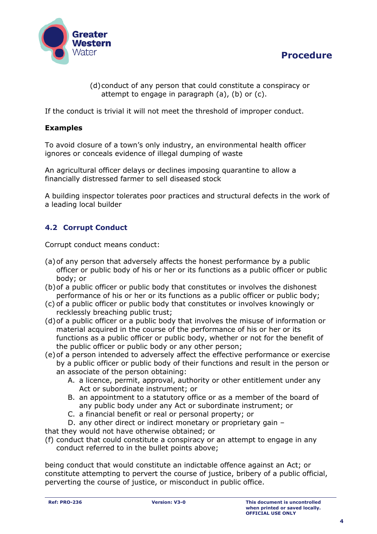



(d)conduct of any person that could constitute a conspiracy or attempt to engage in paragraph (a), (b) or (c).

If the conduct is trivial it will not meet the threshold of improper conduct.

#### **Examples**

To avoid closure of a town's only industry, an environmental health officer ignores or conceals evidence of illegal dumping of waste

An agricultural officer delays or declines imposing quarantine to allow a financially distressed farmer to sell diseased stock

A building inspector tolerates poor practices and structural defects in the work of a leading local builder

### <span id="page-3-0"></span>**4.2 Corrupt Conduct**

Corrupt conduct means conduct:

- (a)of any person that adversely affects the honest performance by a public officer or public body of his or her or its functions as a public officer or public body; or
- (b)of a public officer or public body that constitutes or involves the dishonest performance of his or her or its functions as a public officer or public body;
- (c) of a public officer or public body that constitutes or involves knowingly or recklessly breaching public trust;
- (d)of a public officer or a public body that involves the misuse of information or material acquired in the course of the performance of his or her or its functions as a public officer or public body, whether or not for the benefit of the public officer or public body or any other person;
- (e)of a person intended to adversely affect the effective performance or exercise by a public officer or public body of their functions and result in the person or
	- an associate of the person obtaining:
		- A. a licence, permit, approval, authority or other entitlement under any Act or subordinate instrument; or
		- B. an appointment to a statutory office or as a member of the board of any public body under any Act or subordinate instrument; or
		- C. a financial benefit or real or personal property; or
- D. any other direct or indirect monetary or proprietary gain –

that they would not have otherwise obtained; or

(f) conduct that could constitute a conspiracy or an attempt to engage in any conduct referred to in the bullet points above;

being conduct that would constitute an indictable offence against an Act; or constitute attempting to pervert the course of justice, bribery of a public official, perverting the course of justice, or misconduct in public office.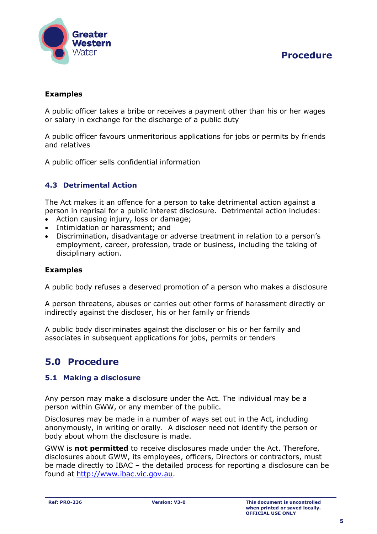

### **Examples**

A public officer takes a bribe or receives a payment other than his or her wages or salary in exchange for the discharge of a public duty

A public officer favours unmeritorious applications for jobs or permits by friends and relatives

A public officer sells confidential information

### <span id="page-4-0"></span>**4.3 Detrimental Action**

The Act makes it an offence for a person to take detrimental action against a person in reprisal for a public interest disclosure. Detrimental action includes:

- Action causing injury, loss or damage;
- Intimidation or harassment; and
- Discrimination, disadvantage or adverse treatment in relation to a person's employment, career, profession, trade or business, including the taking of disciplinary action.

#### **Examples**

A public body refuses a deserved promotion of a person who makes a disclosure

A person threatens, abuses or carries out other forms of harassment directly or indirectly against the discloser, his or her family or friends

A public body discriminates against the discloser or his or her family and associates in subsequent applications for jobs, permits or tenders

# <span id="page-4-1"></span>**5.0 Procedure**

#### <span id="page-4-2"></span>**5.1 Making a disclosure**

Any person may make a disclosure under the Act. The individual may be a person within GWW, or any member of the public.

Disclosures may be made in a number of ways set out in the Act, including anonymously, in writing or orally. A discloser need not identify the person or body about whom the disclosure is made.

GWW is **not permitted** to receive disclosures made under the Act. Therefore, disclosures about GWW, its employees, officers, Directors or contractors, must be made directly to IBAC – the detailed process for reporting a disclosure can be found at [http://www.ibac.vic.gov.au.](http://www.ibac.vic.gov.au/)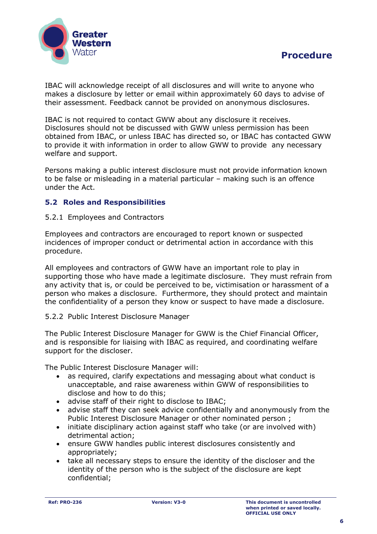

IBAC will acknowledge receipt of all disclosures and will write to anyone who makes a disclosure by letter or email within approximately 60 days to advise of their assessment. Feedback cannot be provided on anonymous disclosures.

IBAC is not required to contact GWW about any disclosure it receives. Disclosures should not be discussed with GWW unless permission has been obtained from IBAC, or unless IBAC has directed so, or IBAC has contacted GWW to provide it with information in order to allow GWW to provide any necessary welfare and support.

Persons making a public interest disclosure must not provide information known to be false or misleading in a material particular – making such is an offence under the Act.

### <span id="page-5-0"></span>**5.2 Roles and Responsibilities**

#### <span id="page-5-1"></span>5.2.1 Employees and Contractors

Employees and contractors are encouraged to report known or suspected incidences of improper conduct or detrimental action in accordance with this procedure.

All employees and contractors of GWW have an important role to play in supporting those who have made a legitimate disclosure. They must refrain from any activity that is, or could be perceived to be, victimisation or harassment of a person who makes a disclosure. Furthermore, they should protect and maintain the confidentiality of a person they know or suspect to have made a disclosure.

#### <span id="page-5-2"></span>5.2.2 Public Interest Disclosure Manager

The Public Interest Disclosure Manager for GWW is the Chief Financial Officer, and is responsible for liaising with IBAC as required, and coordinating welfare support for the discloser.

The Public Interest Disclosure Manager will:

- as required, clarify expectations and messaging about what conduct is unacceptable, and raise awareness within GWW of responsibilities to disclose and how to do this;
- advise staff of their right to disclose to IBAC;
- advise staff they can seek advice confidentially and anonymously from the Public Interest Disclosure Manager or other nominated person ;
- initiate disciplinary action against staff who take (or are involved with) detrimental action;
- ensure GWW handles public interest disclosures consistently and appropriately;
- take all necessary steps to ensure the identity of the discloser and the identity of the person who is the subject of the disclosure are kept confidential;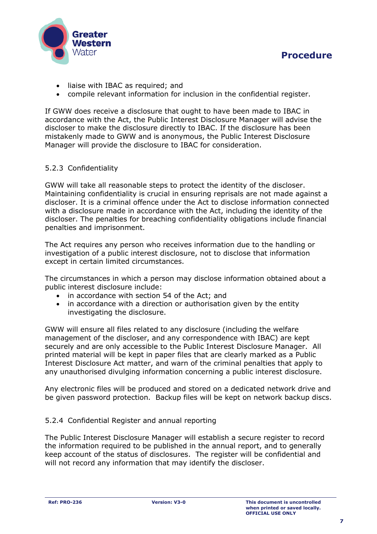

- liaise with IBAC as required; and
- compile relevant information for inclusion in the confidential register.

If GWW does receive a disclosure that ought to have been made to IBAC in accordance with the Act, the Public Interest Disclosure Manager will advise the discloser to make the disclosure directly to IBAC. If the disclosure has been mistakenly made to GWW and is anonymous, the Public Interest Disclosure Manager will provide the disclosure to IBAC for consideration.

#### <span id="page-6-0"></span>5.2.3 Confidentiality

GWW will take all reasonable steps to protect the identity of the discloser. Maintaining confidentiality is crucial in ensuring reprisals are not made against a discloser. It is a criminal offence under the Act to disclose information connected with a disclosure made in accordance with the Act, including the identity of the discloser. The penalties for breaching confidentiality obligations include financial penalties and imprisonment.

The Act requires any person who receives information due to the handling or investigation of a public interest disclosure, not to disclose that information except in certain limited circumstances.

The circumstances in which a person may disclose information obtained about a public interest disclosure include:

- in accordance with section 54 of the Act; and
- in accordance with a direction or authorisation given by the entity investigating the disclosure.

GWW will ensure all files related to any disclosure (including the welfare management of the discloser, and any correspondence with IBAC) are kept securely and are only accessible to the Public Interest Disclosure Manager. All printed material will be kept in paper files that are clearly marked as a Public Interest Disclosure Act matter, and warn of the criminal penalties that apply to any unauthorised divulging information concerning a public interest disclosure.

Any electronic files will be produced and stored on a dedicated network drive and be given password protection. Backup files will be kept on network backup discs.

#### <span id="page-6-1"></span>5.2.4 Confidential Register and annual reporting

The Public Interest Disclosure Manager will establish a secure register to record the information required to be published in the annual report, and to generally keep account of the status of disclosures. The register will be confidential and will not record any information that may identify the discloser.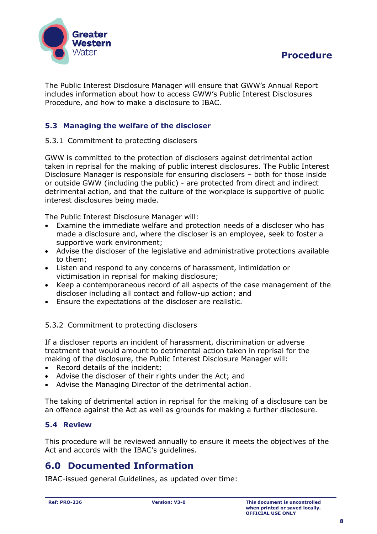

The Public Interest Disclosure Manager will ensure that GWW's Annual Report includes information about how to access GWW's Public Interest Disclosures Procedure, and how to make a disclosure to IBAC.

### <span id="page-7-0"></span>**5.3 Managing the welfare of the discloser**

#### <span id="page-7-1"></span>5.3.1 Commitment to protecting disclosers

GWW is committed to the protection of disclosers against detrimental action taken in reprisal for the making of public interest disclosures. The Public Interest Disclosure Manager is responsible for ensuring disclosers – both for those inside or outside GWW (including the public) - are protected from direct and indirect detrimental action, and that the culture of the workplace is supportive of public interest disclosures being made.

The Public Interest Disclosure Manager will:

- Examine the immediate welfare and protection needs of a discloser who has made a disclosure and, where the discloser is an employee, seek to foster a supportive work environment;
- Advise the discloser of the legislative and administrative protections available to them;
- Listen and respond to any concerns of harassment, intimidation or victimisation in reprisal for making disclosure;
- Keep a contemporaneous record of all aspects of the case management of the discloser including all contact and follow-up action; and
- Ensure the expectations of the discloser are realistic.

<span id="page-7-2"></span>5.3.2 Commitment to protecting disclosers

If a discloser reports an incident of harassment, discrimination or adverse treatment that would amount to detrimental action taken in reprisal for the making of the disclosure, the Public Interest Disclosure Manager will:

- Record details of the incident;
- Advise the discloser of their rights under the Act; and
- Advise the Managing Director of the detrimental action.

The taking of detrimental action in reprisal for the making of a disclosure can be an offence against the Act as well as grounds for making a further disclosure.

#### <span id="page-7-3"></span>**5.4 Review**

This procedure will be reviewed annually to ensure it meets the objectives of the Act and accords with the IBAC's guidelines.

### <span id="page-7-4"></span>**6.0 Documented Information**

IBAC-issued general Guidelines, as updated over time: